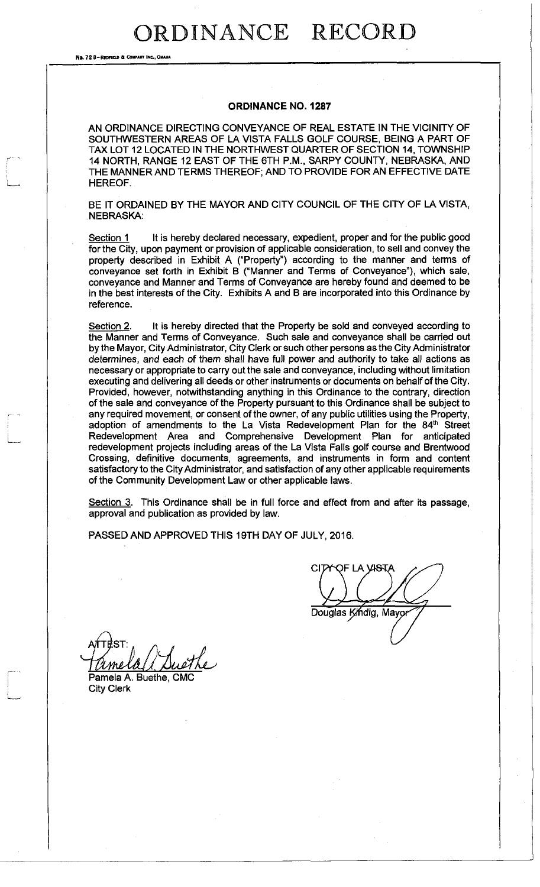No. 72 8-RECTIELD & COMPANY INC., OHAH

#### **ORDINANCE NO. 1287**

AN ORDINANCE DIRECTING CONVEYANCE OF REAL ESTATE IN THE VICINITY OF SOUTHWESTERN AREAS OF LA VISTA FALLS GOLF COURSE, BEING A PART OF TAX LOT 12 LOCATED IN THE NORTHWEST QUARTER OF SECTION 14, TOWNSHIP 14 NORTH, RANGE 12 EAST OF THE 6TH P.M., SARPY COUNTY, NEBRASKA, AND THE MANNER AND TERMS THEREOF; AND TO PROVIDE FOR AN EFFECTIVE DATE HEREOF.

BE IT ORDAINED BY THE MAYOR AND CITY COUNCIL OF THE CITY OF LA VISTA, NEBRASKA:

Section 1 It is hereby declared necessary, expedient, proper and for the public good for the City, upon payment or provision of applicable consideration, to sell and convey the property described in Exhibit A ("Property") according to the manner and terms of conveyance set forth in Exhibit B ("Manner and Terms of Conveyance"), which sale, conveyance and Manner and Terms of Conveyance are hereby found and deemed to be in the best interests of the City. Exhibits A and B are incorporated into this Ordinance by reference.

Section 2. It is hereby directed that the Property be sold and conveyed according to the Manner and Terms of Conveyance. Such sale and conveyance shall be carried out by the Mayor, City Administrator, City Clerk or such other persons as the City Administrator determines, and each of them shall have full power and authority to take all actions as necessary or appropriate to carry out the sale and conveyance, including without limitation executing and delivering all deeds or other instruments or documents on behalf of the City. Provided, however, notwithstanding anything in this Ordinance to the contrary, direction of the sale and conveyance of the Property pursuant to this Ordinance shall be subject to any required movement, or consent of the owner, of any public utilities using the Property, adoption of amendments to the La Vista Redevelopment Plan for the 84<sup>th</sup> Street Redevelopment Area and Comprehensive Development Plan for anticipated redevelopment projects including areas of the La Vista Falls golf course and Brentwood Crossing, definitive documents, agreements, and instruments in form and content satisfactory to the City Administrator, and satisfaction of any other applicable requirements of the Community Development Law or other applicable laws.

Section 3. This Ordinance shall be in full force and effect from and after its passage, approval and publication as provided by law.

PASSED AND APPROVED THIS 19TH DAY OF JULY, 2016.

OF LA VI<del>S</del>TA CIT Douglas Kindig, Mayor

Pamela A. Buethe, CMC

City Clerk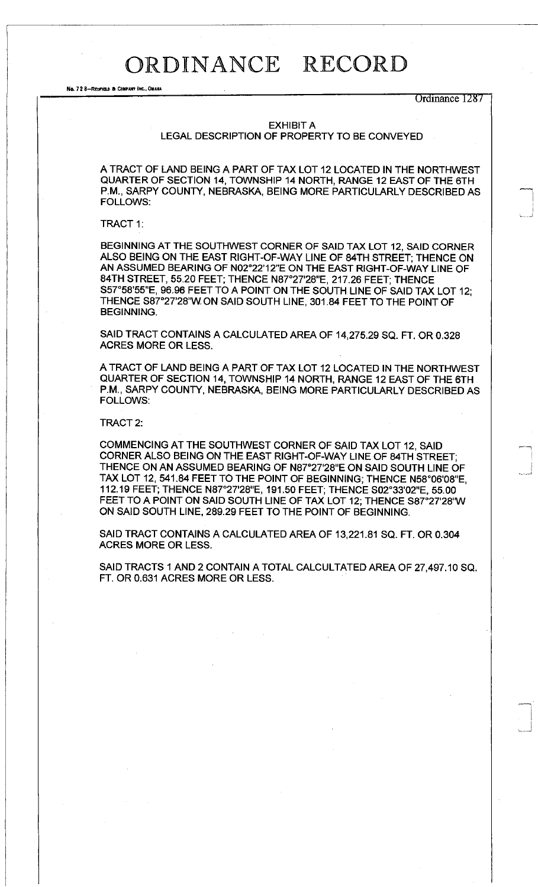No. 728-REDFIELD & COMPANY INC., OMAHA

Ordinance 1287

#### EXHIBIT A

LEGAL DESCRIPTION OF PROPERTY TO BE CONVEYED

A TRACT OF LAND BEING A PART OF TAX LOT 12 LOCATED IN THE NORTHWEST QUARTER OF SECTION 14, TOWNSHIP 14 NORTH, RANGE 12 EAST OF THE 6TH P.M., SARPY COUNTY, NEBRASKA, BEING MORE PARTICULARLY DESCRIBED AS FOLLOWS:

#### TRACT 1:

BEGINNING AT THE SOUTHWEST CORNER OF SAID TAX LOT 12, SAID CORNER ALSO BEING ON THE EAST RIGHT-OF-WAY LINE OF 84TH STREET; THENCE ON AN ASSUMED BEARING OF N02°22'12"E ON THE EAST RIGHT-OF-WAY LINE OF 84TH STREET, 55.20 FEET; THENCE N87°27'28"E, 217.26 FEET; THENCE S57°58'55"E, 96.96 FEET TO A POINT ON THE SOUTH LINE OF SAID TAX LOT 12; THENCE S87°27'28"W ON SAID SOUTH LINE, 301.84 FEET TO THE POINT OF BEGINNING.

SAID TRACT CONTAINS A CALCULATED AREA OF 14,275.29 SQ. FT. OR 0.328 ACRES MORE OR LESS.

A TRACT OF LAND BEING A PART OF TAX LOT 12 LOCATED IN THE NORTHWEST QUARTER OF SECTION 14, TOWNSHIP 14 NORTH, RANGE 12 EAST OF THE 6TH P.M., SARPY COUNTY, NEBRASKA, BEING MORE PARTICULARLY DESCRIBED AS FOLLOWS:

#### TRACT 2:

COMMENCING AT THE SOUTHWEST CORNER OF SAID TAX LOT 12, SAID CORNER ALSO BEING ON THE EAST RIGHT-OF-WAY LINE OF 84TH STREET; THENCE ON AN ASSUMED BEARING OF N87°27'28"E ON SAID SOUTH LINE OF TAX LOT 12, 541.84 FEET TO THE POINT OF BEGINNING; THENCE N58°06'08"E, 112.19 FEET; THENCE N87°27'28"E, 191.50 FEET; THENCE S02°33'02"E, 55.00 FEET TO A POINT ON SAID SOUTH LINE OF TAX LOT 12; THENCE S87°27'28"W ON SAID SOUTH LINE, 289.29 FEET TO THE POINT OF BEGINNING.

SAID TRACT CONTAINS A CALCULATED AREA OF 13,221.81 SQ. FT. OR 0.304 ACRES MORE OR LESS.

SAID TRACTS 1 AND 2 CONTAIN A TOTAL CALCULTATED AREA OF 27,497.10 SQ. FT. OR 0.631 ACRES MORE OR LESS.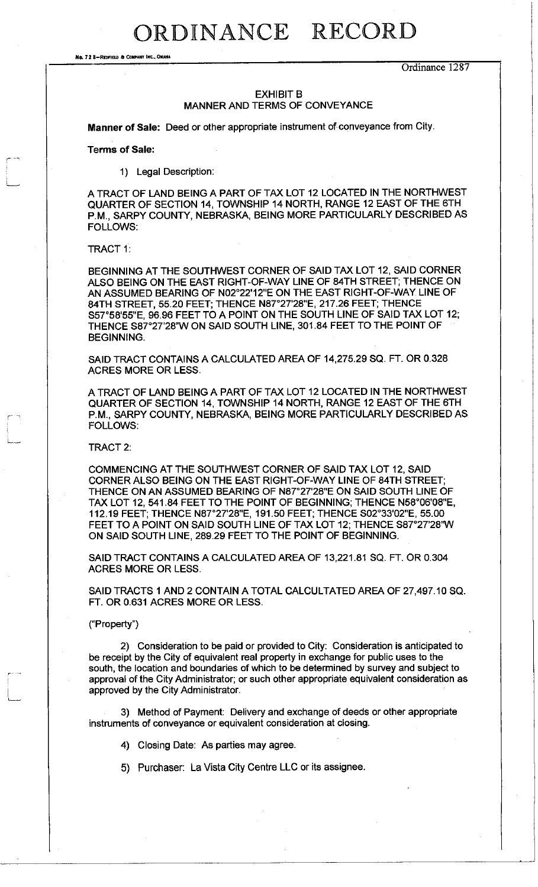No. 72 8-REDFIELD & COMPANY INC., OM

Ordinance 1287

### EXHIBIT B MANNER AND TERMS OF CONVEYANCE

**Manner of Sale:** Deed or other appropriate instrument of conveyance from City.

**Terms of Sale:** 

1) Legal Description:

A TRACT OF LAND BEING A PART OF TAX LOT 12 LOCATED IN THE NORTHWEST QUARTER OF SECTION 14, TOWNSHIP 14 NORTH, RANGE 12 EAST OF THE 6TH P.M., SARPY COUNTY, NEBRASKA, BEING MORE PARTICULARLY DESCRIBED AS FOLLOWS:

TRACT 1:

BEGINNING AT THE SOUTHWEST CORNER OF SAID TAX LOT 12, SAID CORNER ALSO BEING ON THE EAST RIGHT-OF-WAY LINE OF 84TH STREET; THENCE ON AN ASSUMED BEARING OF N02°22'12"E ON THE EAST RIGHT-OF-WAY LINE OF 84TH STREET, 55.20 FEET; THENCE N87°27'28"E, 217.26 FEET; THENCE S57°58'55"E, 96.96 FEET TO A POINT ON THE SOUTH LINE OF SAID TAX LOT 12; THENCE S87°27'28"W ON SAID SOUTH LINE, 301.84 FEET TO THE POINT OF BEGINNING.

SAID TRACT CONTAINS A CALCULATED AREA OF 14,275.29 SQ. FT. OR 0.328 ACRES MORE OR LESS.

A TRACT OF LAND BEING A PART OF TAX LOT 12 LOCATED IN THE NORTHWEST QUARTER OF SECTION 14, TOWNSHIP 14 NORTH, RANGE 12 EAST OF THE 6TH P.M., SARPY COUNTY, NEBRASKA, BEING MORE PARTICULARLY DESCRIBED AS FOLLOWS:

TRACT 2:

COMMENCING AT THE SOUTHWEST CORNER OF SAID TAX LOT 12, SAID CORNER ALSO BEING ON THE EAST RIGHT-OF-WAY LINE OF 84TH STREET; THENCE ON AN ASSUMED BEARING OF N87°27'28"E ON SAID SOUTH LINE OF TAX LOT 12, 541.84 FEET TO THE POINT OF BEGINNING; THENCE N58°06'08"E, 112.19 FEET; THENCE N87°27'28"E, 191.50 FEET; THENCE S02°33'02"E, 55.00 FEET TO A POINT ON SAID SOUTH LINE OF TAX LOT 12; THENCE S87°27'28"W ON SAID SOUTH LINE, 289.29 FEET TO THE POINT OF BEGINNING.

SAID TRACT CONTAINS A CALCULATED AREA OF 13,221.81 SQ. FT. OR 0.304 ACRES MORE OR LESS.

SAID TRACTS 1 AND 2 CONTAIN A TOTAL CALCULTATED AREA OF 27,497.10 SQ. FT. OR 0.631 ACRES MORE OR LESS.

("Property")

2) Consideration to be paid or provided to City: Consideration is anticipated to be receipt by the City of equivalent real property in exchange for public uses to the south, the location and boundaries of which to be determined by survey and subject to approval of the City Administrator; or such other appropriate equivalent consideration as approved by the City Administrator.

3) Method of Payment: Delivery and exchange of deeds or other appropriate instruments of conveyance or equivalent consideration at closing.

4) Closing Date: As parties may agree.

5) Purchaser: La Vista City Centre LLC or its assignee.